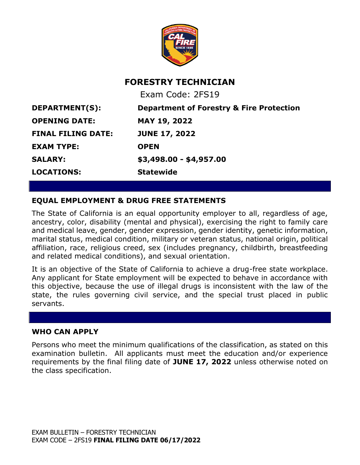

# **FORESTRY TECHNICIAN**

Exam Code: 2FS19 **DEPARTMENT(S): Department of Forestry & Fire Protection OPENING DATE: MAY 19, 2022 FINAL FILING DATE: JUNE 17, 2022 EXAM TYPE: OPEN SALARY: \$3,498.00 - \$4,957.00 LOCATIONS: Statewide**

# **EQUAL EMPLOYMENT & DRUG FREE STATEMENTS**

The State of California is an equal opportunity employer to all, regardless of age, ancestry, color, disability (mental and physical), exercising the right to family care and medical leave, gender, gender expression, gender identity, genetic information, marital status, medical condition, military or veteran status, national origin, political affiliation, race, religious creed, sex (includes pregnancy, childbirth, breastfeeding and related medical conditions), and sexual orientation.

It is an objective of the State of California to achieve a drug-free state workplace. Any applicant for State employment will be expected to behave in accordance with this objective, because the use of illegal drugs is inconsistent with the law of the state, the rules governing civil service, and the special trust placed in public servants.

### **WHO CAN APPLY**

Persons who meet the minimum qualifications of the classification, as stated on this examination bulletin. All applicants must meet the education and/or experience requirements by the final filing date of **JUNE 17, 2022** unless otherwise noted on the class specification.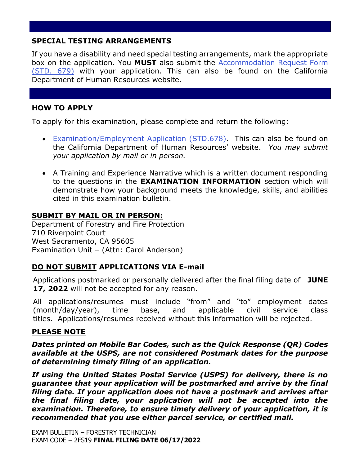# **SPECIAL TESTING ARRANGEMENTS**

If you have a disability and need special testing arrangements, mark the appropriate box on the application. You **MUST** also submit the [Accommodation Request Form](https://jobs.ca.gov/pdf/STD679.pdf)  [\(STD. 679\)](https://jobs.ca.gov/pdf/STD679.pdf) with your application. This can also be found on the California Department of Human Resources website.

# **HOW TO APPLY**

To apply for this examination, please complete and return the following:

- [Examination/Employment Application \(STD.678\).](https://jobs.ca.gov/pdf/std678.pdf) This can also be found on the California Department of Human Resources' website. *You may submit your application by mail or in person.*
- A Training and Experience Narrative which is a written document responding to the questions in the **EXAMINATION INFORMATION** section which will demonstrate how your background meets the knowledge, skills, and abilities cited in this examination bulletin.

# **SUBMIT BY MAIL OR IN PERSON:**

Department of Forestry and Fire Protection 710 Riverpoint Court West Sacramento, CA 95605 Examination Unit – (Attn: Carol Anderson)

### **DO NOT SUBMIT APPLICATIONS VIA E-mail**

Applications postmarked or personally delivered after the final filing date of **JUNE 17, 2022** will not be accepted for any reason.

All applications/resumes must include "from" and "to" employment dates (month/day/year), time base, and applicable civil service class titles. Applications/resumes received without this information will be rejected.

### **PLEASE NOTE**

*Dates printed on Mobile Bar Codes, such as the Quick Response (QR) Codes available at the USPS, are not considered Postmark dates for the purpose of determining timely filing of an application.*

*If using the United States Postal Service (USPS) for delivery, there is no guarantee that your application will be postmarked and arrive by the final filing date. If your application does not have a postmark and arrives after the final filing date, your application will not be accepted into the examination. Therefore, to ensure timely delivery of your application, it is recommended that you use either parcel service, or certified mail.*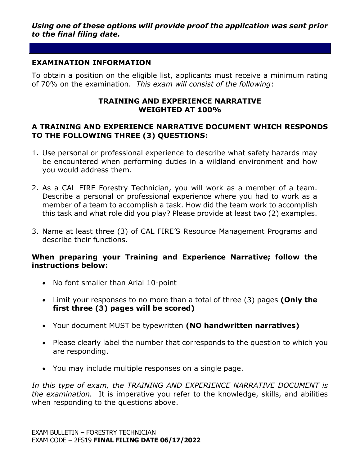# **EXAMINATION INFORMATION**

To obtain a position on the eligible list, applicants must receive a minimum rating of 70% on the examination. *This exam will consist of the following*:

#### **TRAINING AND EXPERIENCE NARRATIVE WEIGHTED AT 100%**

### **A TRAINING AND EXPERIENCE NARRATIVE DOCUMENT WHICH RESPONDS TO THE FOLLOWING THREE (3) QUESTIONS:**

- 1. Use personal or professional experience to describe what safety hazards may be encountered when performing duties in a wildland environment and how you would address them.
- 2. As a CAL FIRE Forestry Technician, you will work as a member of a team. Describe a personal or professional experience where you had to work as a member of a team to accomplish a task. How did the team work to accomplish this task and what role did you play? Please provide at least two (2) examples.
- 3. Name at least three (3) of CAL FIRE'S Resource Management Programs and describe their functions.

# **When preparing your Training and Experience Narrative; follow the instructions below:**

- No font smaller than Arial 10-point
- Limit your responses to no more than a total of three (3) pages **(Only the first three (3) pages will be scored)**
- Your document MUST be typewritten **(NO handwritten narratives)**
- Please clearly label the number that corresponds to the question to which you are responding.
- You may include multiple responses on a single page.

In this type of exam, the TRAINING AND EXPERIENCE NARRATIVE DOCUMENT is *the examination.* It is imperative you refer to the knowledge, skills, and abilities when responding to the questions above.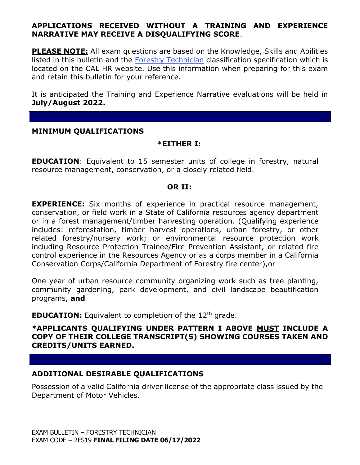# **APPLICATIONS RECEIVED WITHOUT A TRAINING AND EXPERIENCE NARRATIVE MAY RECEIVE A DISQUALIFYING SCORE**.

**PLEASE NOTE:** All exam questions are based on the Knowledge, Skills and Abilities listed in this bulletin and the [Forestry Technician](https://www.calhr.ca.gov/state-hr-professionals/pages/1085.aspx) classification specification which is located on the CAL HR website. Use this information when preparing for this exam and retain this bulletin for your reference.

It is anticipated the Training and Experience Narrative evaluations will be held in **July/August 2022.**

#### **MINIMUM QUALIFICATIONS**

#### **\*EITHER I:**

**EDUCATION**: Equivalent to 15 semester units of college in forestry, natural resource management, conservation, or a closely related field.

#### **OR II:**

**EXPERIENCE:** Six months of experience in practical resource management, conservation, or field work in a State of California resources agency department or in a forest management/timber harvesting operation. (Qualifying experience includes: reforestation, timber harvest operations, urban forestry, or other related forestry/nursery work; or environmental resource protection work including Resource Protection Trainee/Fire Prevention Assistant, or related fire control experience in the Resources Agency or as a corps member in a California Conservation Corps/California Department of Forestry fire center),or

One year of urban resource community organizing work such as tree planting, community gardening, park development, and civil landscape beautification programs, **and**

**EDUCATION:** Equivalent to completion of the 12<sup>th</sup> grade.

#### **\*APPLICANTS QUALIFYING UNDER PATTERN I ABOVE MUST INCLUDE A COPY OF THEIR COLLEGE TRANSCRIPT(S) SHOWING COURSES TAKEN AND CREDITS/UNITS EARNED.**

#### **ADDITIONAL DESIRABLE QUALIFICATIONS**

Possession of a valid California driver license of the appropriate class issued by the Department of Motor Vehicles.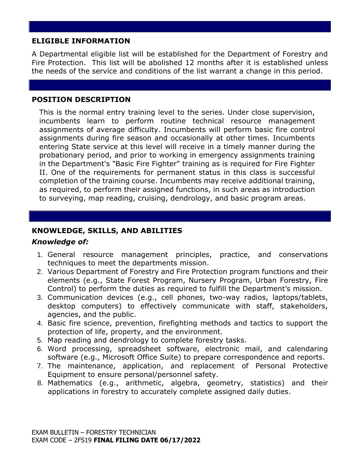# **ELIGIBLE INFORMATION**

A Departmental eligible list will be established for the Department of Forestry and Fire Protection. This list will be abolished 12 months after it is established unless the needs of the service and conditions of the list warrant a change in this period.

# **POSITION DESCRIPTION**

This is the normal entry training level to the series. Under close supervision, incumbents learn to perform routine technical resource management assignments of average difficulty. Incumbents will perform basic fire control assignments during fire season and occasionally at other times. Incumbents entering State service at this level will receive in a timely manner during the probationary period, and prior to working in emergency assignments training in the Department's "Basic Fire Fighter" training as is required for Fire Fighter II. One of the requirements for permanent status in this class is successful completion of the training course. Incumbents may receive additional training, as required, to perform their assigned functions, in such areas as introduction to surveying, map reading, cruising, dendrology, and basic program areas.

# **KNOWLEDGE, SKILLS, AND ABILITIES**

# *Knowledge of:*

- 1. General resource management principles, practice, and conservations techniques to meet the departments mission.
- 2. Various Department of Forestry and Fire Protection program functions and their elements (e.g., State Forest Program, Nursery Program, Urban Forestry, Fire Control) to perform the duties as required to fulfill the Department's mission.
- 3. Communication devices (e.g., cell phones, two-way radios, laptops/tablets, desktop computers) to effectively communicate with staff, stakeholders, agencies, and the public.
- 4. Basic fire science, prevention, firefighting methods and tactics to support the protection of life, property, and the environment.
- 5. Map reading and dendrology to complete forestry tasks.
- 6. Word processing, spreadsheet software, electronic mail, and calendaring software (e.g., Microsoft Office Suite) to prepare correspondence and reports.
- 7. The maintenance, application, and replacement of Personal Protective Equipment to ensure personal/personnel safety.
- 8. Mathematics (e.g., arithmetic, algebra, geometry, statistics) and their applications in forestry to accurately complete assigned daily duties.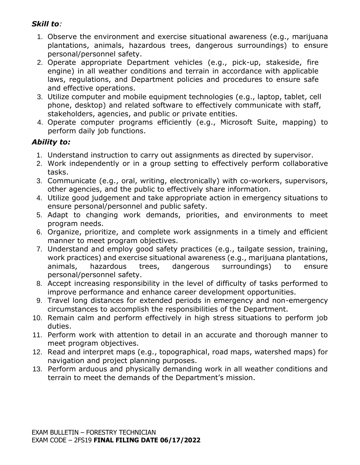# *Skill to:*

- 1. Observe the environment and exercise situational awareness (e.g., marijuana plantations, animals, hazardous trees, dangerous surroundings) to ensure personal/personnel safety.
- 2. Operate appropriate Department vehicles (e.g., pick-up, stakeside, fire engine) in all weather conditions and terrain in accordance with applicable laws, regulations, and Department policies and procedures to ensure safe and effective operations.
- 3. Utilize computer and mobile equipment technologies (e.g., laptop, tablet, cell phone, desktop) and related software to effectively communicate with staff, stakeholders, agencies, and public or private entities.
- 4. Operate computer programs efficiently (e.g., Microsoft Suite, mapping) to perform daily job functions.

# *Ability to:*

- 1. Understand instruction to carry out assignments as directed by supervisor.
- 2. Work independently or in a group setting to effectively perform collaborative tasks.
- 3. Communicate (e.g., oral, writing, electronically) with co-workers, supervisors, other agencies, and the public to effectively share information.
- 4. Utilize good judgement and take appropriate action in emergency situations to ensure personal/personnel and public safety.
- 5. Adapt to changing work demands, priorities, and environments to meet program needs.
- 6. Organize, prioritize, and complete work assignments in a timely and efficient manner to meet program objectives.
- 7. Understand and employ good safety practices (e.g., tailgate session, training, work practices) and exercise situational awareness (e.g., marijuana plantations, animals, hazardous trees, dangerous surroundings) to ensure personal/personnel safety.
- 8. Accept increasing responsibility in the level of difficulty of tasks performed to improve performance and enhance career development opportunities.
- 9. Travel long distances for extended periods in emergency and non-emergency circumstances to accomplish the responsibilities of the Department.
- 10. Remain calm and perform effectively in high stress situations to perform job duties.
- 11. Perform work with attention to detail in an accurate and thorough manner to meet program objectives.
- 12. Read and interpret maps (e.g., topographical, road maps, watershed maps) for navigation and project planning purposes.
- 13. Perform arduous and physically demanding work in all weather conditions and terrain to meet the demands of the Department's mission.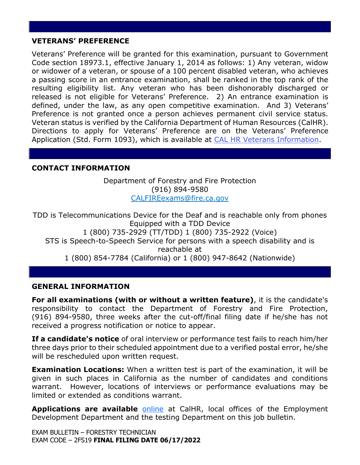### **VETERANS' PREFERENCE**

Veterans' Preference will be granted for this examination, pursuant to Government Code section 18973.1, effective January 1, 2014 as follows: 1) Any veteran, widow or widower of a veteran, or spouse of a 100 percent disabled veteran, who achieves a passing score in an entrance examination, shall be ranked in the top rank of the resulting eligibility list. Any veteran who has been dishonorably discharged or released is not eligible for Veterans' Preference. 2) An entrance examination is defined, under the law, as any open competitive examination. And 3) Veterans' Preference is not granted once a person achieves permanent civil service status. Veteran status is verified by the California Department of Human Resources (CalHR). Directions to apply for Veterans' Preference are on the Veterans' Preference Application (Std. Form 1093), which is available at [CAL HR Veterans Information.](https://jobs.ca.gov/CalHRPublic/Landing/Jobs/VeteransInformation.aspx)

# **CONTACT INFORMATION**

Department of Forestry and Fire Protection (916) 894-9580 CALFIREexams@fire.ca.gov

TDD is Telecommunications Device for the Deaf and is reachable only from phones Equipped with a TDD Device 1 (800) 735-2929 (TT/TDD) 1 (800) 735-2922 (Voice) STS is Speech-to-Speech Service for persons with a speech disability and is reachable at 1 (800) 854-7784 (California) or 1 (800) 947-8642 (Nationwide)

### **GENERAL INFORMATION**

**For all examinations (with or without a written feature)**, it is the candidate's responsibility to contact the Department of Forestry and Fire Protection, (916) 894-9580, three weeks after the cut-off/final filing date if he/she has not received a progress notification or notice to appear.

**If a candidate's notice** of oral interview or performance test fails to reach him/her three days prior to their scheduled appointment due to a verified postal error, he/she will be rescheduled upon written request.

**Examination Locations:** When a written test is part of the examination, it will be given in such places in California as the number of candidates and conditions warrant. However, locations of interviews or performance evaluations may be limited or extended as conditions warrant.

**Applications are available [online](https://jobs.ca.gov/pdf/std678.pdf)** at CalHR, local offices of the Employment Development Department and the testing Department on this job bulletin.